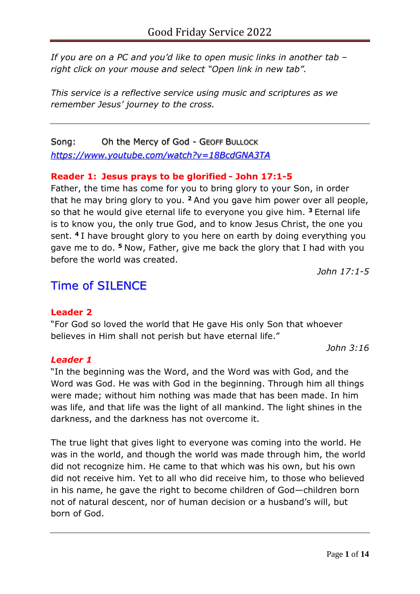*If you are on a PC and you'd like to open music links in another tab – right click on your mouse and select "Open link in new tab".*

*This service is a reflective service using music and scriptures as we remember Jesus' journey to the cross.*

Song: Oh the Mercy of God - GEOFF BULLOCK *<https://www.youtube.com/watch?v=18BcdGNA3TA>*

# **Reader 1: Jesus prays to be glorified - John 17:1-5**

Father, the time has come for you to bring glory to your Son, in order that he may bring glory to you. **<sup>2</sup>** And you gave him power over all people, so that he would give eternal life to everyone you give him. **<sup>3</sup>** Eternal life is to know you, the only true God, and to know Jesus Christ, the one you sent. **<sup>4</sup>** I have brought glory to you here on earth by doing everything you gave me to do. **<sup>5</sup>** Now, Father, give me back the glory that I had with you before the world was created.

*John 17:1-5*

# Time of SILENCE

## **Leader 2**

"For God so loved the world that He gave His only Son that whoever believes in Him shall not perish but have eternal life."

*John 3:16*

## *Leader 1*

"In the beginning was the Word, and the Word was with God, and the Word was God. He was with God in the beginning. Through him all things were made; without him nothing was made that has been made. In him was life, and that life was the light of all mankind. The light shines in the darkness, and the darkness has not overcome it.

The true light that gives light to everyone was coming into the world. He was in the world, and though the world was made through him, the world did not recognize him. He came to that which was his own, but his own did not receive him. Yet to all who did receive him, to those who believed in his name, he gave the right to become children of God—children born not of natural descent, nor of human decision or a husband's will, but born of God.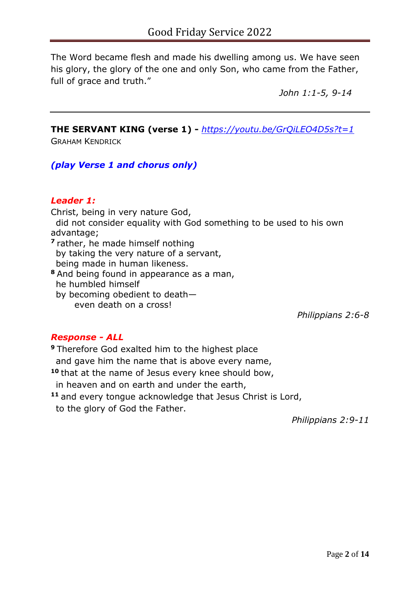The Word became flesh and made his dwelling among us. We have seen his glory, the glory of the one and only Son, who came from the Father, full of grace and truth."

*John 1:1-5, 9-14*

## **THE SERVANT KING (verse 1) -** *<https://youtu.be/GrQiLEO4D5s?t=1>*

GRAHAM KENDRICK

# *(play Verse 1 and chorus only)*

### *Leader 1:*

Christ, being in very nature God, did not consider equality with God something to be used to his own advantage; **<sup>7</sup>** rather, he made himself nothing

- by taking the very nature of a servant, being made in human likeness.
- **<sup>8</sup>** And being found in appearance as a man, he humbled himself by becoming obedient to death
	- even death on a cross!

*Philippians 2:6-8*

## *Response - ALL*

**<sup>9</sup>** Therefore God exalted him to the highest place

and gave him the name that is above every name,

**<sup>10</sup>** that at the name of Jesus every knee should bow,

in heaven and on earth and under the earth,

**<sup>11</sup>** and every tongue acknowledge that Jesus Christ is Lord,

to the glory of God the Father.

*Philippians 2:9-11*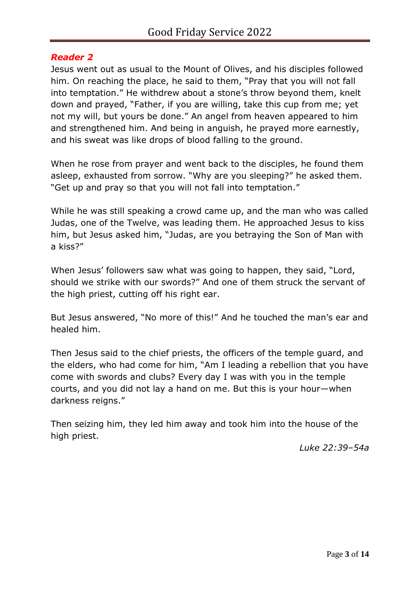Jesus went out as usual to the Mount of Olives, and his disciples followed him. On reaching the place, he said to them, "Pray that you will not fall into temptation." He withdrew about a stone's throw beyond them, knelt down and prayed, "Father, if you are willing, take this cup from me; yet not my will, but yours be done." An angel from heaven appeared to him and strengthened him. And being in anguish, he prayed more earnestly, and his sweat was like drops of blood falling to the ground.

When he rose from prayer and went back to the disciples, he found them asleep, exhausted from sorrow. "Why are you sleeping?" he asked them. "Get up and pray so that you will not fall into temptation."

While he was still speaking a crowd came up, and the man who was called Judas, one of the Twelve, was leading them. He approached Jesus to kiss him, but Jesus asked him, "Judas, are you betraying the Son of Man with a kiss?"

When Jesus' followers saw what was going to happen, they said, "Lord, should we strike with our swords?" And one of them struck the servant of the high priest, cutting off his right ear.

But Jesus answered, "No more of this!" And he touched the man's ear and healed him.

Then Jesus said to the chief priests, the officers of the temple guard, and the elders, who had come for him, "Am I leading a rebellion that you have come with swords and clubs? Every day I was with you in the temple courts, and you did not lay a hand on me. But this is your hour—when darkness reigns."

Then seizing him, they led him away and took him into the house of the high priest.

*Luke 22:39–54a*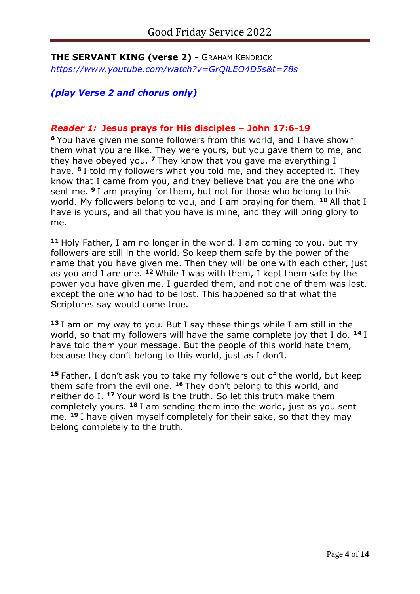**THE SERVANT KING (verse 2) -** GRAHAM KENDRICK *<https://www.youtube.com/watch?v=GrQiLEO4D5s&t=78s>*

# *(play Verse 2 and chorus only)*

## *Reader 1:* **Jesus prays for His disciples – John 17:6-19**

**<sup>6</sup>** You have given me some followers from this world, and I have shown them what you are like. They were yours, but you gave them to me, and they have obeyed you. **<sup>7</sup>** They know that you gave me everything I have. **<sup>8</sup>** I told my followers what you told me, and they accepted it. They know that I came from you, and they believe that you are the one who sent me. **<sup>9</sup>** I am praying for them, but not for those who belong to this world. My followers belong to you, and I am praying for them. **<sup>10</sup>** All that I have is yours, and all that you have is mine, and they will bring glory to me.

**<sup>11</sup>** Holy Father, I am no longer in the world. I am coming to you, but my followers are still in the world. So keep them safe by the power of the name that you have given me. Then they will be one with each other, just as you and I are one. **<sup>12</sup>** While I was with them, I kept them safe by the power you have given me. I guarded them, and not one of them was lost, except the one who had to be lost. This happened so that what the Scriptures say would come true.

**<sup>13</sup>** I am on my way to you. But I say these things while I am still in the world, so that my followers will have the same complete joy that I do. **<sup>14</sup>** I have told them your message. But the people of this world hate them, because they don't belong to this world, just as I don't.

**<sup>15</sup>** Father, I don't ask you to take my followers out of the world, but keep them safe from the evil one. **<sup>16</sup>** They don't belong to this world, and neither do I. **<sup>17</sup>** Your word is the truth. So let this truth make them completely yours. **<sup>18</sup>** I am sending them into the world, just as you sent me. **<sup>19</sup>** I have given myself completely for their sake, so that they may belong completely to the truth.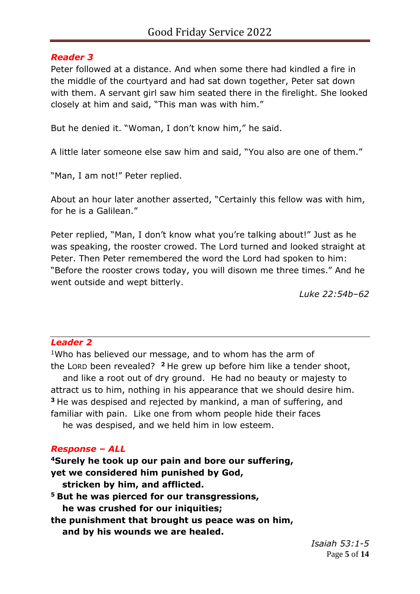Peter followed at a distance. And when some there had kindled a fire in the middle of the courtyard and had sat down together, Peter sat down with them. A servant girl saw him seated there in the firelight. She looked closely at him and said, "This man was with him."

But he denied it. "Woman, I don't know him," he said.

A little later someone else saw him and said, "You also are one of them."

"Man, I am not!" Peter replied.

About an hour later another asserted, "Certainly this fellow was with him, for he is a Galilean."

Peter replied, "Man, I don't know what you're talking about!" Just as he was speaking, the rooster crowed. The Lord turned and looked straight at Peter. Then Peter remembered the word the Lord had spoken to him: "Before the rooster crows today, you will disown me three times." And he went outside and wept bitterly.

*Luke 22:54b–62*

## *Leader 2*

<sup>1</sup>Who has believed our message, and to whom has the arm of the LORD been revealed? **<sup>2</sup>** He grew up before him like a tender shoot, and like a root out of dry ground. He had no beauty or majesty to attract us to him, nothing in his appearance that we should desire him. **<sup>3</sup>** He was despised and rejected by mankind, a man of suffering, and familiar with pain. Like one from whom people hide their faces he was despised, and we held him in low esteem.

# *Response – ALL*

**<sup>4</sup>Surely he took up our pain and bore our suffering, yet we considered him punished by God, stricken by him, and afflicted. <sup>5</sup> But he was pierced for our transgressions, he was crushed for our iniquities; the punishment that brought us peace was on him, and by his wounds we are healed.**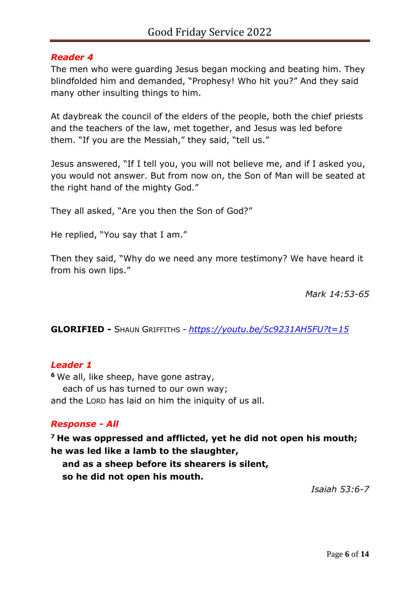The men who were guarding Jesus began mocking and beating him. They blindfolded him and demanded, "Prophesy! Who hit you?" And they said many other insulting things to him.

At daybreak the council of the elders of the people, both the chief priests and the teachers of the law, met together, and Jesus was led before them. "If you are the Messiah," they said, "tell us."

Jesus answered, "If I tell you, you will not believe me, and if I asked you, you would not answer. But from now on, the Son of Man will be seated at the right hand of the mighty God."

They all asked, "Are you then the Son of God?"

He replied, "You say that I am."

Then they said, "Why do we need any more testimony? We have heard it from his own lips."

*Mark 14:53-65*

**GLORIFIED -** SHAUN GRIFFITHS - *<https://youtu.be/5c9231AH5FU?t=15>*

#### *Leader 1*

**<sup>6</sup>** We all, like sheep, have gone astray, each of us has turned to our own way; and the LORD has laid on him the iniquity of us all.

## *Response - All*

**<sup>7</sup> He was oppressed and afflicted, yet he did not open his mouth; he was led like a lamb to the slaughter,**

 **and as a sheep before its shearers is silent, so he did not open his mouth.**

*Isaiah 53:6-7*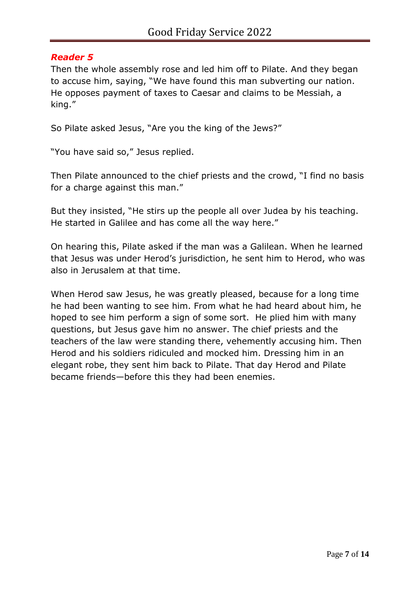Then the whole assembly rose and led him off to Pilate. And they began to accuse him, saying, "We have found this man subverting our nation. He opposes payment of taxes to Caesar and claims to be Messiah, a king."

So Pilate asked Jesus, "Are you the king of the Jews?"

"You have said so," Jesus replied.

Then Pilate announced to the chief priests and the crowd, "I find no basis for a charge against this man."

But they insisted, "He stirs up the people all over Judea by his teaching. He started in Galilee and has come all the way here."

On hearing this, Pilate asked if the man was a Galilean. When he learned that Jesus was under Herod's jurisdiction, he sent him to Herod, who was also in Jerusalem at that time.

When Herod saw Jesus, he was greatly pleased, because for a long time he had been wanting to see him. From what he had heard about him, he hoped to see him perform a sign of some sort. He plied him with many questions, but Jesus gave him no answer. The chief priests and the teachers of the law were standing there, vehemently accusing him. Then Herod and his soldiers ridiculed and mocked him. Dressing him in an elegant robe, they sent him back to Pilate. That day Herod and Pilate became friends—before this they had been enemies.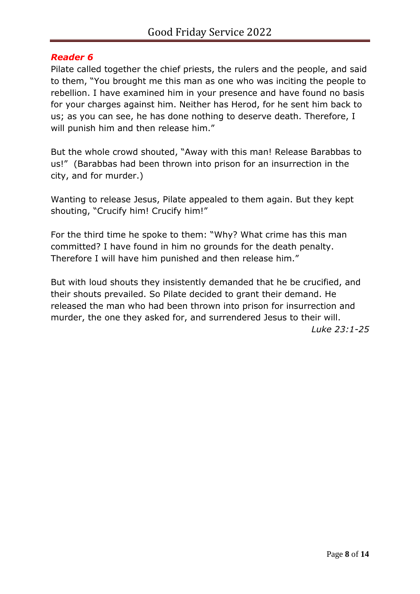Pilate called together the chief priests, the rulers and the people, and said to them, "You brought me this man as one who was inciting the people to rebellion. I have examined him in your presence and have found no basis for your charges against him. Neither has Herod, for he sent him back to us; as you can see, he has done nothing to deserve death. Therefore, I will punish him and then release him."

But the whole crowd shouted, "Away with this man! Release Barabbas to us!" (Barabbas had been thrown into prison for an insurrection in the city, and for murder.)

Wanting to release Jesus, Pilate appealed to them again. But they kept shouting, "Crucify him! Crucify him!"

For the third time he spoke to them: "Why? What crime has this man committed? I have found in him no grounds for the death penalty. Therefore I will have him punished and then release him."

But with loud shouts they insistently demanded that he be crucified, and their shouts prevailed. So Pilate decided to grant their demand. He released the man who had been thrown into prison for insurrection and murder, the one they asked for, and surrendered Jesus to their will.

*Luke 23:1-25*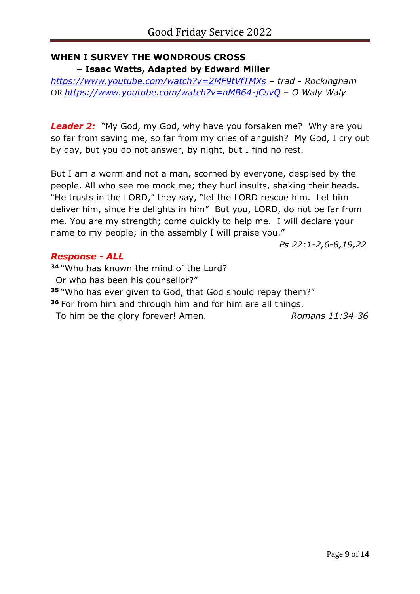# **WHEN I SURVEY THE WONDROUS CROSS – Isaac Watts, Adapted by Edward Miller**

*<https://www.youtube.com/watch?v=2MF9tVfTMXs> – trad - Rockingham* OR *<https://www.youtube.com/watch?v=nMB64-jCsvQ> – O Waly Waly* 

**Leader 2:** "My God, my God, why have you forsaken me? Why are you so far from saving me, so far from my cries of anguish? My God, I cry out by day, but you do not answer, by night, but I find no rest.

But I am a worm and not a man, scorned by everyone, despised by the people. All who see me mock me; they hurl insults, shaking their heads. "He trusts in the LORD," they say, "let the LORD rescue him. Let him deliver him, since he delights in him" But you, LORD, do not be far from me. You are my strength; come quickly to help me. I will declare your name to my people; in the assembly I will praise you."

*Ps 22:1-2,6-8,19,22*

## *Response - ALL*

**<sup>34</sup>** "Who has known the mind of the Lord? Or who has been his counsellor?" **<sup>35</sup>** "Who has ever given to God, that God should repay them?" **<sup>36</sup>** For from him and through him and for him are all things. To him be the glory forever! Amen. *Romans 11:34-36*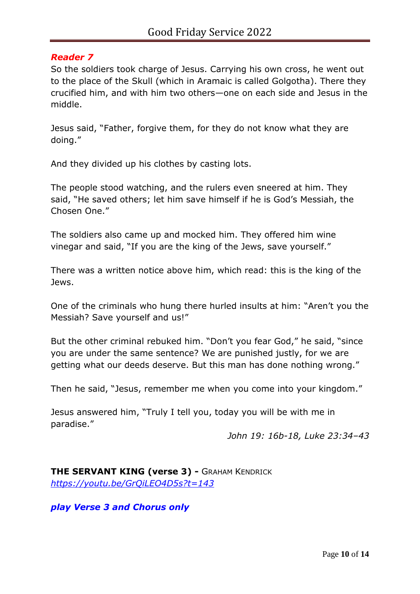So the soldiers took charge of Jesus. Carrying his own cross, he went out to the place of the Skull (which in Aramaic is called Golgotha). There they crucified him, and with him two others—one on each side and Jesus in the middle.

Jesus said, "Father, forgive them, for they do not know what they are doing."

And they divided up his clothes by casting lots.

The people stood watching, and the rulers even sneered at him. They said, "He saved others; let him save himself if he is God's Messiah, the Chosen One."

The soldiers also came up and mocked him. They offered him wine vinegar and said, "If you are the king of the Jews, save yourself."

There was a written notice above him, which read: this is the king of the Jews.

One of the criminals who hung there hurled insults at him: "Aren't you the Messiah? Save yourself and us!"

But the other criminal rebuked him. "Don't you fear God," he said, "since you are under the same sentence? We are punished justly, for we are getting what our deeds deserve. But this man has done nothing wrong."

Then he said, "Jesus, remember me when you come into your kingdom."

Jesus answered him, "Truly I tell you, today you will be with me in paradise."

*John 19: 16b-18, Luke 23:34–43*

**THE SERVANT KING (verse 3) -** GRAHAM KENDRICK *<https://youtu.be/GrQiLEO4D5s?t=143>*

*play Verse 3 and Chorus only*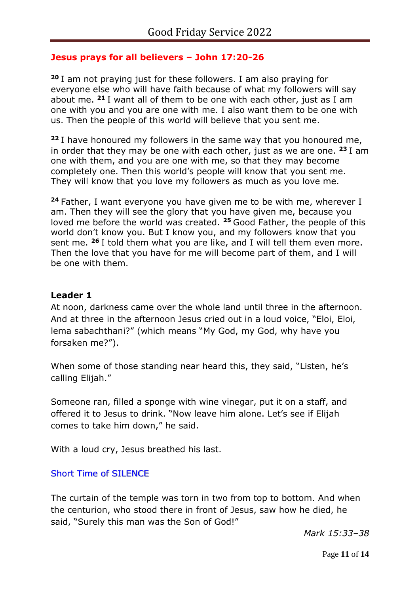# **Jesus prays for all believers – John 17:20-26**

**<sup>20</sup>** I am not praying just for these followers. I am also praying for everyone else who will have faith because of what my followers will say about me. **<sup>21</sup>** I want all of them to be one with each other, just as I am one with you and you are one with me. I also want them to be one with us. Then the people of this world will believe that you sent me.

**<sup>22</sup>** I have honoured my followers in the same way that you honoured me, in order that they may be one with each other, just as we are one. **<sup>23</sup>** I am one with them, and you are one with me, so that they may become completely one. Then this world's people will know that you sent me. They will know that you love my followers as much as you love me.

**<sup>24</sup>** Father, I want everyone you have given me to be with me, wherever I am. Then they will see the glory that you have given me, because you loved me before the world was created. **<sup>25</sup>** Good Father, the people of this world don't know you. But I know you, and my followers know that you sent me. **<sup>26</sup>** I told them what you are like, and I will tell them even more. Then the love that you have for me will become part of them, and I will be one with them.

## **Leader 1**

At noon, darkness came over the whole land until three in the afternoon. And at three in the afternoon Jesus cried out in a loud voice, "Eloi, Eloi, lema sabachthani?" (which means "My God, my God, why have you forsaken me?").

When some of those standing near heard this, they said, "Listen, he's calling Elijah."

Someone ran, filled a sponge with wine vinegar, put it on a staff, and offered it to Jesus to drink. "Now leave him alone. Let's see if Elijah comes to take him down," he said.

With a loud cry, Jesus breathed his last.

#### Short Time of SILENCE

The curtain of the temple was torn in two from top to bottom. And when the centurion, who stood there in front of Jesus, saw how he died, he said, "Surely this man was the Son of God!"

*Mark 15:33–38*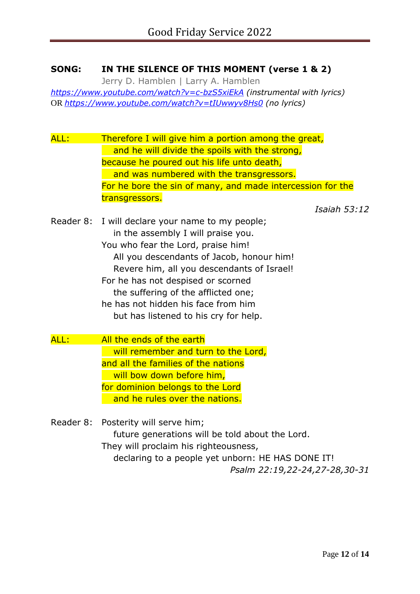# **SONG: IN THE SILENCE OF THIS MOMENT (verse 1 & 2)**

Jerry D. Hamblen | Larry A. Hamblen

*<https://www.youtube.com/watch?v=c-bzS5xiEkA> (instrumental with lyrics)* OR *<https://www.youtube.com/watch?v=tIUwwyv8Hs0> (no lyrics)*

| ALL:      | Therefore I will give him a portion among the great,       |
|-----------|------------------------------------------------------------|
|           | and he will divide the spoils with the strong,             |
|           | because he poured out his life unto death,                 |
|           | and was numbered with the transgressors.                   |
|           | For he bore the sin of many, and made intercession for the |
|           | transgressors.                                             |
|           | Isaiah 53:12                                               |
| Reader 8: | I will declare your name to my people;                     |
|           | in the assembly I will praise you.                         |
|           | You who fear the Lord, praise him!                         |
|           | All you descendants of Jacob, honour him!                  |
|           | Revere him, all you descendants of Israel!                 |
|           | For he has not despised or scorned                         |
|           | the suffering of the afflicted one;                        |
|           | he has not hidden his face from him                        |
|           | but has listened to his cry for help.                      |
|           |                                                            |
| ALL:      | All the ends of the earth                                  |
|           | will remember and turn to the Lord,                        |
|           | and all the families of the nations                        |
|           | will bow down before him,                                  |
|           | for dominion belongs to the Lord                           |
|           | and he rules over the nations.                             |
|           |                                                            |
| Reader 8: | Posterity will serve him:                                  |

eader 8: Posterity will serve him; future generations will be told about the Lord. They will proclaim his righteousness, declaring to a people yet unborn: HE HAS DONE IT! *Psalm 22:19,22-24,27-28,30-31*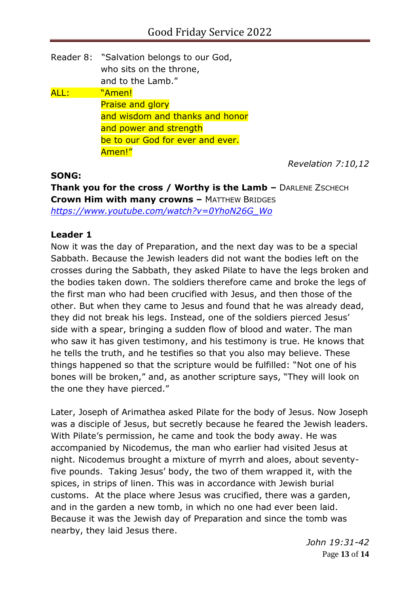Reader 8: "Salvation belongs to our God, who sits on the throne, and to the Lamb."

ALL: "Amen!

Praise and glory and wisdom and thanks and honor and power and strength be to our God for ever and ever. Amen!"

*Revelation 7:10,12*

#### **SONG:**

**Thank you for the cross / Worthy is the Lamb –** DARLENE ZSCHECH **Crown Him with many crowns –** MATTHEW BRIDGES *[https://www.youtube.com/watch?v=0YhoN26G\\_Wo](https://www.youtube.com/watch?v=0YhoN26G_Wo)*

## **Leader 1**

Now it was the day of Preparation, and the next day was to be a special Sabbath. Because the Jewish leaders did not want the bodies left on the crosses during the Sabbath, they asked Pilate to have the legs broken and the bodies taken down. The soldiers therefore came and broke the legs of the first man who had been crucified with Jesus, and then those of the other. But when they came to Jesus and found that he was already dead, they did not break his legs. Instead, one of the soldiers pierced Jesus' side with a spear, bringing a sudden flow of blood and water. The man who saw it has given testimony, and his testimony is true. He knows that he tells the truth, and he testifies so that you also may believe. These things happened so that the scripture would be fulfilled: "Not one of his bones will be broken," and, as another scripture says, "They will look on the one they have pierced."

Later, Joseph of Arimathea asked Pilate for the body of Jesus. Now Joseph was a disciple of Jesus, but secretly because he feared the Jewish leaders. With Pilate's permission, he came and took the body away. He was accompanied by Nicodemus, the man who earlier had visited Jesus at night. Nicodemus brought a mixture of myrrh and aloes, about seventyfive pounds. Taking Jesus' body, the two of them wrapped it, with the spices, in strips of linen. This was in accordance with Jewish burial customs. At the place where Jesus was crucified, there was a garden, and in the garden a new tomb, in which no one had ever been laid. Because it was the Jewish day of Preparation and since the tomb was nearby, they laid Jesus there.